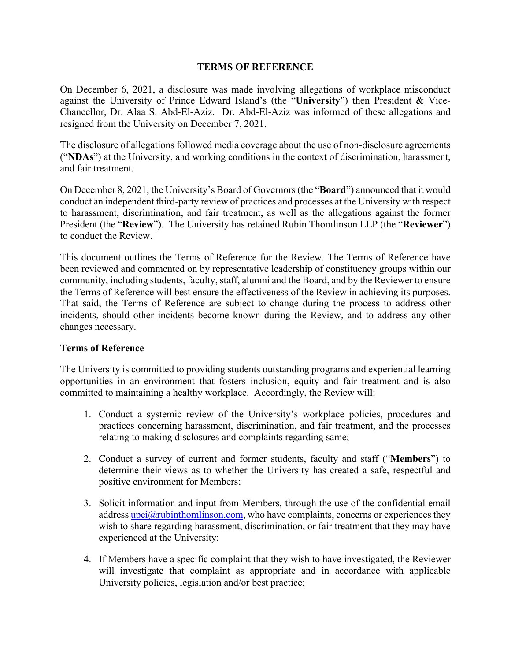## **TERMS OF REFERENCE**

On December 6, 2021, a disclosure was made involving allegations of workplace misconduct against the University of Prince Edward Island's (the "**University**") then President & Vice-Chancellor, Dr. Alaa S. Abd-El-Aziz. Dr. Abd-El-Aziz was informed of these allegations and resigned from the University on December 7, 2021.

The disclosure of allegations followed media coverage about the use of non-disclosure agreements ("**NDAs**") at the University, and working conditions in the context of discrimination, harassment, and fair treatment.

On December 8, 2021, the University's Board of Governors (the "**Board**") announced that it would conduct an independent third-party review of practices and processes at the University with respect to harassment, discrimination, and fair treatment, as well as the allegations against the former President (the "**Review**"). The University has retained Rubin Thomlinson LLP (the "**Reviewer**") to conduct the Review.

This document outlines the Terms of Reference for the Review. The Terms of Reference have been reviewed and commented on by representative leadership of constituency groups within our community, including students, faculty, staff, alumni and the Board, and by the Reviewer to ensure the Terms of Reference will best ensure the effectiveness of the Review in achieving its purposes. That said, the Terms of Reference are subject to change during the process to address other incidents, should other incidents become known during the Review, and to address any other changes necessary.

## **Terms of Reference**

The University is committed to providing students outstanding programs and experiential learning opportunities in an environment that fosters inclusion, equity and fair treatment and is also committed to maintaining a healthy workplace. Accordingly, the Review will:

- 1. Conduct a systemic review of the University's workplace policies, procedures and practices concerning harassment, discrimination, and fair treatment, and the processes relating to making disclosures and complaints regarding same;
- 2. Conduct a survey of current and former students, faculty and staff ("**Members**") to determine their views as to whether the University has created a safe, respectful and positive environment for Members;
- 3. Solicit information and input from Members, through the use of the confidential email address upei $\partial$  rubinthomlinson.com, who have complaints, concerns or experiences they wish to share regarding harassment, discrimination, or fair treatment that they may have experienced at the University;
- 4. If Members have a specific complaint that they wish to have investigated, the Reviewer will investigate that complaint as appropriate and in accordance with applicable University policies, legislation and/or best practice;